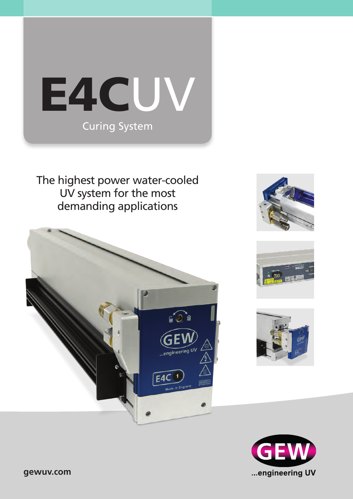

The highest power water-cooled UV system for the most demanding applications









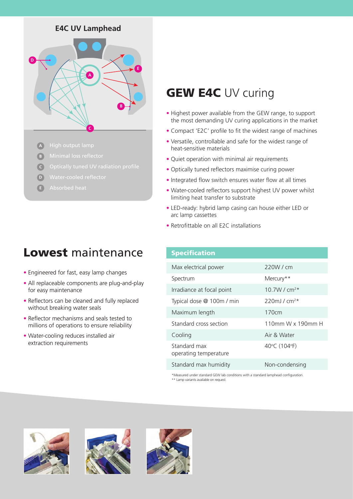# **E4C UV Lamphead**



- **A**
- **B**
- **C**
- **D**
- **E**

# Lowest maintenance

- **•** Engineered for fast, easy lamp changes
- **•** All replaceable components are plug-and-play for easy maintenance
- **•** Reflectors can be cleaned and fully replaced without breaking water seals
- **•** Reflector mechanisms and seals tested to millions of operations to ensure reliability
- **•** Water-cooling reduces installed air extraction requirements

# **GEW E4C UV curing**

- **•** Highest power available from the GEW range, to support the most demanding UV curing applications in the market
- **•** Compact 'E2C' profile to fit the widest range of machines
- **•** Versatile, controllable and safe for the widest range of heat-sensitive materials
- **•** Quiet operation with minimal air requirements
- **•** Optically tuned reflectors maximise curing power
- **•** Integrated flow switch ensures water flow at all times
- **•** Water-cooled reflectors support highest UV power whilst limiting heat transfer to substrate
- **•** LED-ready: hybrid lamp casing can house either LED or arc lamp cassettes
- **•** Retrofittable on all E2C installations

### Specification

| Max electrical power                  | 220W/cm                   |
|---------------------------------------|---------------------------|
| Spectrum                              | Mercury**                 |
| Irradiance at focal point             | 10.7W / $cm^{2*}$         |
| Typical dose @ 100m / min             | $220$ ml/cm <sup>2*</sup> |
| Maximum length                        | 170 <sub>cm</sub>         |
| Standard cross section                | 110mm W x 190mm H         |
| Cooling                               | Air & Water               |
| Standard max<br>operating temperature | 40°C (104°F)              |
| Standard max humidity                 | Non-condensing            |

\*Measured under standard GEW lab conditions with a standard lamphead configuration. \*\* Lamp variants available on request.





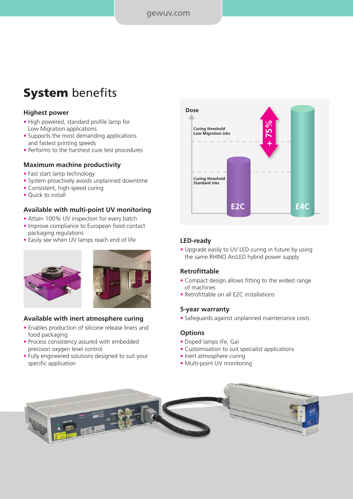# **System** benefits

### **Highest power**

- High powered, standard profile lamp for Low Migration applications
- Supports the most demanding applications and fastest printing speeds
- Performs to the harshest cure test procedures

#### **Maximum machine productivity**

- Fast start lamp technology
- System proactively avoids unplanned downtime
- Consistent, high-speed curing
- Quick to install

#### **Available with multi-point UV monitoring**

- Attain 100% UV inspection for every batch
- Improve compliance to European food contact packaging regulations
- Easily see when UV lamps reach end of life





## **Available with inert atmosphere curing**

- Enables production of silicone release liners and food packaging
- Process consistency assured with embedded precision oxygen level control
- Fully engineered solutions designed to suit your specific application



#### **LED-ready**

• Upgrade easily to UV LED curing in future by using the same RHINO ArcLED hybrid power supply

#### **Retrofittable**

- Compact design allows fitting to the widest range of machines
- Retrofittable on all E2C installations

#### **5-year warranty**

• Safeguards against unplanned maintenance costs

#### **Options**

- Doped lamps (Fe, Ga)
- Customisation to suit specialist applications
- Inert atmosphere curing
- Multi-point UV monitoring